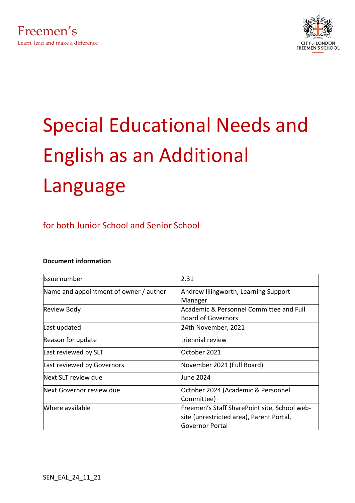



# Special Educational Needs and English as an Additional Language

### for both Junior School and Senior School

#### **Document information**

| Issue number                           | 2.31                                                                                                        |
|----------------------------------------|-------------------------------------------------------------------------------------------------------------|
| Name and appointment of owner / author | Andrew Illingworth, Learning Support<br>Manager                                                             |
| <b>Review Body</b>                     | Academic & Personnel Committee and Full<br><b>Board of Governors</b>                                        |
| Last updated                           | 24th November, 2021                                                                                         |
| Reason for update                      | triennial review                                                                                            |
| Last reviewed by SLT                   | October 2021                                                                                                |
| Last reviewed by Governors             | November 2021 (Full Board)                                                                                  |
| Next SLT review due                    | June 2024                                                                                                   |
| Next Governor review due               | October 2024 (Academic & Personnel<br>Committee)                                                            |
| Where available                        | Freemen's Staff SharePoint site, School web-<br>site (unrestricted area), Parent Portal,<br>Governor Portal |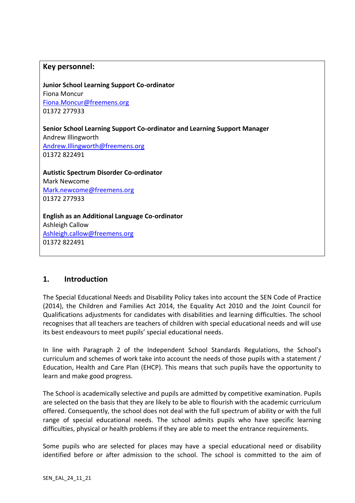#### **Key personnel:**

**Junior School Learning Support Co-ordinator** Fiona Moncur [Fiona.Moncur@freemens.org](mailto:Fiona.Moncur@freemens.org) 01372 277933

**Senior School Learning Support Co-ordinator and Learning Support Manager**

Andrew Illingworth [Andrew.Illingworth@freemens.org](mailto:Andrew.Illingworth@freemens.org) 01372 822491

**Autistic Spectrum Disorder Co-ordinator** Mark Newcome [Mark.newcome@freemens.org](mailto:Mark.newcome@freemens.org) 01372 277933

**English as an Additional Language Co-ordinator** Ashleigh Callow [Ashleigh.callow@freemens.org](mailto:Ashleigh.callow@freemens.org) 01372 822491

#### **1. Introduction**

The Special Educational Needs and Disability Policy takes into account the SEN Code of Practice (2014), the Children and Families Act 2014, the Equality Act 2010 and the Joint Council for Qualifications adjustments for candidates with disabilities and learning difficulties. The school recognises that all teachers are teachers of children with special educational needs and will use its best endeavours to meet pupils' special educational needs.

In line with Paragraph 2 of the Independent School Standards Regulations, the School's curriculum and schemes of work take into account the needs of those pupils with a statement / Education, Health and Care Plan (EHCP). This means that such pupils have the opportunity to learn and make good progress.

The School is academically selective and pupils are admitted by competitive examination. Pupils are selected on the basis that they are likely to be able to flourish with the academic curriculum offered. Consequently, the school does not deal with the full spectrum of ability or with the full range of special educational needs. The school admits pupils who have specific learning difficulties, physical or health problems if they are able to meet the entrance requirements.

Some pupils who are selected for places may have a special educational need or disability identified before or after admission to the school. The school is committed to the aim of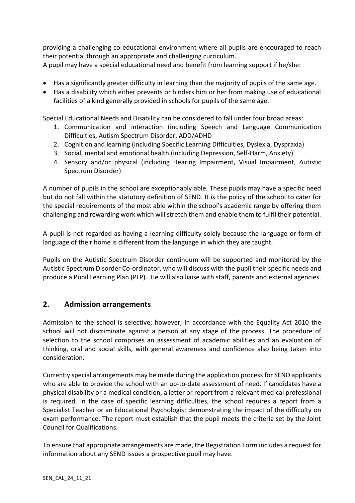providing a challenging co-educational environment where all pupils are encouraged to reach their potential through an appropriate and challenging curriculum. A pupil may have a special educational need and benefit from learning support if he/she:

- Has a significantly greater difficulty in learning than the majority of pupils of the same age.
- Has a disability which either prevents or hinders him or her from making use of educational facilities of a kind generally provided in schools for pupils of the same age.

Special Educational Needs and Disability can be considered to fall under four broad areas:

- 1. Communication and interaction (including Speech and Language Communication Difficulties, Autism Spectrum Disorder, ADD/ADHD
- 2. Cognition and learning (including Specific Learning Difficulties, Dyslexia, Dyspraxia)
- 3. Social, mental and emotional health (including Depression, Self-Harm, Anxiety)
- 4. Sensory and/or physical (including Hearing Impairment, Visual Impairment, Autistic Spectrum Disorder)

A number of pupils in the school are exceptionably able. These pupils may have a specific need but do not fall within the statutory definition of SEND. It is the policy of the school to cater for the special requirements of the most able within the school's academic range by offering them challenging and rewarding work which will stretch them and enable them to fulfil their potential.

A pupil is not regarded as having a learning difficulty solely because the language or form of language of their home is different from the language in which they are taught.

Pupils on the Autistic Spectrum Disorder continuum will be supported and monitored by the Autistic Spectrum Disorder Co-ordinator, who will discuss with the pupil their specific needs and produce a Pupil Learning Plan (PLP). He will also liaise with staff, parents and external agencies.

#### **2. Admission arrangements**

Admission to the school is selective; however, in accordance with the Equality Act 2010 the school will not discriminate against a person at any stage of the process. The procedure of selection to the school comprises an assessment of academic abilities and an evaluation of thinking, oral and social skills, with general awareness and confidence also being taken into consideration.

Currently special arrangements may be made during the application process for SEND applicants who are able to provide the school with an up-to-date assessment of need. If candidates have a physical disability or a medical condition, a letter or report from a relevant medical professional is required. In the case of specific learning difficulties, the school requires a report from a Specialist Teacher or an Educational Psychologist demonstrating the impact of the difficulty on exam performance. The report must establish that the pupil meets the criteria set by the Joint Council for Qualifications.

To ensure that appropriate arrangements are made, the Registration Form includes a request for information about any SEND issues a prospective pupil may have.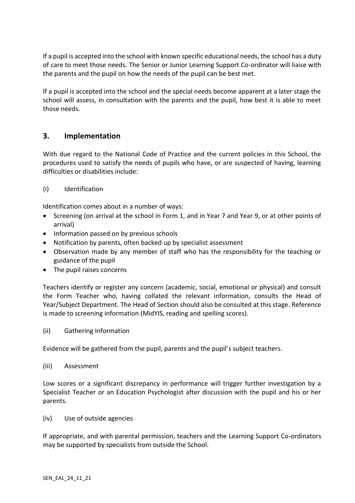If a pupil is accepted into the school with known specific educational needs, the school has a duty of care to meet those needs. The Senior or Junior Learning Support Co-ordinator will liaise with the parents and the pupil on how the needs of the pupil can be best met.

If a pupil is accepted into the school and the special needs become apparent at a later stage the school will assess, in consultation with the parents and the pupil, how best it is able to meet those needs.

#### **3. Implementation**

With due regard to the National Code of Practice and the current policies in this School, the procedures used to satisfy the needs of pupils who have, or are suspected of having, learning difficulties or disabilities include:

#### (i) Identification

Identification comes about in a number of ways:

- Screening (on arrival at the school in Form 1, and in Year 7 and Year 9, or at other points of arrival)
- Information passed on by previous schools
- Notification by parents, often backed up by specialist assessment
- Observation made by any member of staff who has the responsibility for the teaching or guidance of the pupil
- The pupil raises concerns

Teachers identify or register any concern (academic, social, emotional or physical) and consult the Form Teacher who, having collated the relevant information, consults the Head of Year/Subject Department. The Head of Section should also be consulted at this stage. Reference is made to screening information (MidYIS, reading and spelling scores).

(ii) Gathering Information

Evidence will be gathered from the pupil, parents and the pupil's subject teachers.

(iii) Assessment

Low scores or a significant discrepancy in performance will trigger further investigation by a Specialist Teacher or an Education Psychologist after discussion with the pupil and his or her parents.

(iv) Use of outside agencies

If appropriate, and with parental permission, teachers and the Learning Support Co-ordinators may be supported by specialists from outside the School.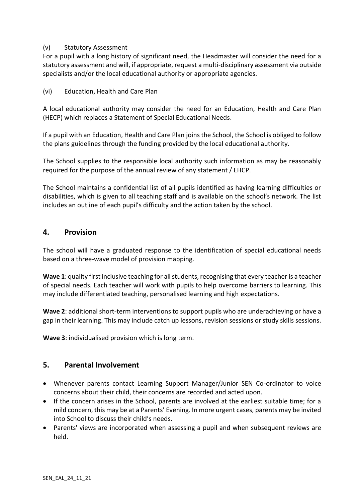#### (v) Statutory Assessment

For a pupil with a long history of significant need, the Headmaster will consider the need for a statutory assessment and will, if appropriate, request a multi-disciplinary assessment via outside specialists and/or the local educational authority or appropriate agencies.

(vi) Education, Health and Care Plan

A local educational authority may consider the need for an Education, Health and Care Plan (HECP) which replaces a Statement of Special Educational Needs.

If a pupil with an Education, Health and Care Plan joins the School, the School is obliged to follow the plans guidelines through the funding provided by the local educational authority.

The School supplies to the responsible local authority such information as may be reasonably required for the purpose of the annual review of any statement / EHCP.

The School maintains a confidential list of all pupils identified as having learning difficulties or disabilities, which is given to all teaching staff and is available on the school's network. The list includes an outline of each pupil's difficulty and the action taken by the school.

#### **4. Provision**

The school will have a graduated response to the identification of special educational needs based on a three-wave model of provision mapping.

**Wave 1**: quality first inclusive teaching for all students, recognising that every teacher is a teacher of special needs. Each teacher will work with pupils to help overcome barriers to learning. This may include differentiated teaching, personalised learning and high expectations.

**Wave 2**: additional short-term interventions to support pupils who are underachieving or have a gap in their learning. This may include catch up lessons, revision sessions or study skills sessions.

**Wave 3**: individualised provision which is long term.

#### **5. Parental Involvement**

- Whenever parents contact Learning Support Manager/Junior SEN Co-ordinator to voice concerns about their child, their concerns are recorded and acted upon.
- If the concern arises in the School, parents are involved at the earliest suitable time; for a mild concern, this may be at a Parents' Evening. In more urgent cases, parents may be invited into School to discuss their child's needs.
- Parents' views are incorporated when assessing a pupil and when subsequent reviews are held.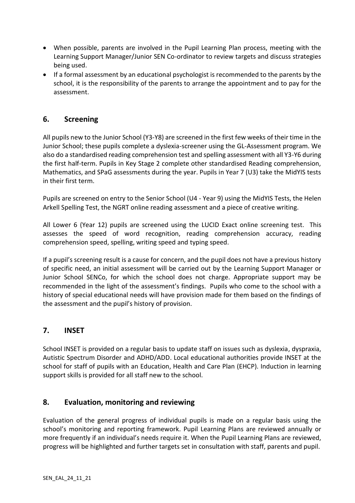- When possible, parents are involved in the Pupil Learning Plan process, meeting with the Learning Support Manager/Junior SEN Co-ordinator to review targets and discuss strategies being used.
- If a formal assessment by an educational psychologist is recommended to the parents by the school, it is the responsibility of the parents to arrange the appointment and to pay for the assessment.

#### **6. Screening**

All pupils new to the Junior School (Y3-Y8) are screened in the first few weeks of their time in the Junior School; these pupils complete a dyslexia-screener using the GL-Assessment program. We also do a standardised reading comprehension test and spelling assessment with all Y3-Y6 during the first half-term. Pupils in Key Stage 2 complete other standardised Reading comprehension, Mathematics, and SPaG assessments during the year. Pupils in Year 7 (U3) take the MidYIS tests in their first term.

Pupils are screened on entry to the Senior School (U4 - Year 9) using the MidYIS Tests, the Helen Arkell Spelling Test, the NGRT online reading assessment and a piece of creative writing.

All Lower 6 (Year 12) pupils are screened using the LUCID Exact online screening test. This assesses the speed of word recognition, reading comprehension accuracy, reading comprehension speed, spelling, writing speed and typing speed.

If a pupil's screening result is a cause for concern, and the pupil does not have a previous history of specific need, an initial assessment will be carried out by the Learning Support Manager or Junior School SENCo, for which the school does not charge. Appropriate support may be recommended in the light of the assessment's findings. Pupils who come to the school with a history of special educational needs will have provision made for them based on the findings of the assessment and the pupil's history of provision.

#### **7. INSET**

School INSET is provided on a regular basis to update staff on issues such as dyslexia, dyspraxia, Autistic Spectrum Disorder and ADHD/ADD. Local educational authorities provide INSET at the school for staff of pupils with an Education, Health and Care Plan (EHCP). Induction in learning support skills is provided for all staff new to the school.

#### **8. Evaluation, monitoring and reviewing**

Evaluation of the general progress of individual pupils is made on a regular basis using the school's monitoring and reporting framework. Pupil Learning Plans are reviewed annually or more frequently if an individual's needs require it. When the Pupil Learning Plans are reviewed, progress will be highlighted and further targets set in consultation with staff, parents and pupil.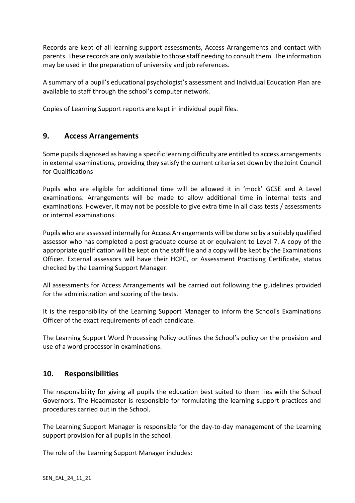Records are kept of all learning support assessments, Access Arrangements and contact with parents. These records are only available to those staff needing to consult them. The information may be used in the preparation of university and job references.

A summary of a pupil's educational psychologist's assessment and Individual Education Plan are available to staff through the school's computer network.

Copies of Learning Support reports are kept in individual pupil files.

#### **9. Access Arrangements**

Some pupils diagnosed as having a specific learning difficulty are entitled to access arrangements in external examinations, providing they satisfy the current criteria set down by the Joint Council for Qualifications

Pupils who are eligible for additional time will be allowed it in 'mock' GCSE and A Level examinations. Arrangements will be made to allow additional time in internal tests and examinations. However, it may not be possible to give extra time in all class tests / assessments or internal examinations.

Pupils who are assessed internally for Access Arrangements will be done so by a suitably qualified assessor who has completed a post graduate course at or equivalent to Level 7. A copy of the appropriate qualification will be kept on the staff file and a copy will be kept by the Examinations Officer. External assessors will have their HCPC, or Assessment Practising Certificate, status checked by the Learning Support Manager.

All assessments for Access Arrangements will be carried out following the guidelines provided for the administration and scoring of the tests.

It is the responsibility of the Learning Support Manager to inform the School's Examinations Officer of the exact requirements of each candidate.

The Learning Support Word Processing Policy outlines the School's policy on the provision and use of a word processor in examinations.

#### **10. Responsibilities**

The responsibility for giving all pupils the education best suited to them lies with the School Governors. The Headmaster is responsible for formulating the learning support practices and procedures carried out in the School.

The Learning Support Manager is responsible for the day-to-day management of the Learning support provision for all pupils in the school.

The role of the Learning Support Manager includes: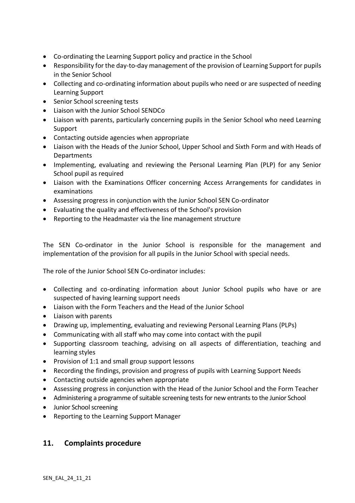- Co-ordinating the Learning Support policy and practice in the School
- Responsibility for the day-to-day management of the provision of Learning Support for pupils in the Senior School
- Collecting and co-ordinating information about pupils who need or are suspected of needing Learning Support
- Senior School screening tests
- Liaison with the Junior School SENDCo
- Liaison with parents, particularly concerning pupils in the Senior School who need Learning Support
- Contacting outside agencies when appropriate
- Liaison with the Heads of the Junior School, Upper School and Sixth Form and with Heads of **Departments**
- Implementing, evaluating and reviewing the Personal Learning Plan (PLP) for any Senior School pupil as required
- Liaison with the Examinations Officer concerning Access Arrangements for candidates in examinations
- Assessing progress in conjunction with the Junior School SEN Co-ordinator
- Evaluating the quality and effectiveness of the School's provision
- Reporting to the Headmaster via the line management structure

The SEN Co-ordinator in the Junior School is responsible for the management and implementation of the provision for all pupils in the Junior School with special needs.

The role of the Junior School SEN Co-ordinator includes:

- Collecting and co-ordinating information about Junior School pupils who have or are suspected of having learning support needs
- Liaison with the Form Teachers and the Head of the Junior School
- Liaison with parents
- Drawing up, implementing, evaluating and reviewing Personal Learning Plans (PLPs)
- Communicating with all staff who may come into contact with the pupil
- Supporting classroom teaching, advising on all aspects of differentiation, teaching and learning styles
- Provision of 1:1 and small group support lessons
- Recording the findings, provision and progress of pupils with Learning Support Needs
- Contacting outside agencies when appropriate
- Assessing progress in conjunction with the Head of the Junior School and the Form Teacher
- Administering a programme of suitable screening tests for new entrants to the Junior School
- Junior School screening
- Reporting to the Learning Support Manager

#### **11. Complaints procedure**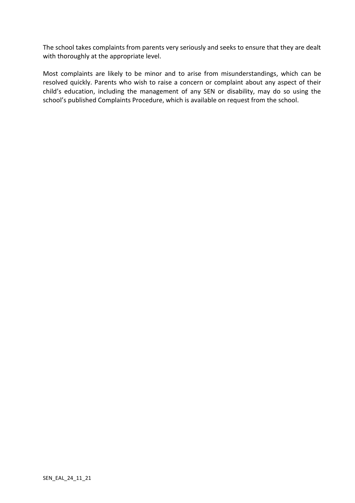The school takes complaints from parents very seriously and seeks to ensure that they are dealt with thoroughly at the appropriate level.

Most complaints are likely to be minor and to arise from misunderstandings, which can be resolved quickly. Parents who wish to raise a concern or complaint about any aspect of their child's education, including the management of any SEN or disability, may do so using the school's published Complaints Procedure, which is available on request from the school.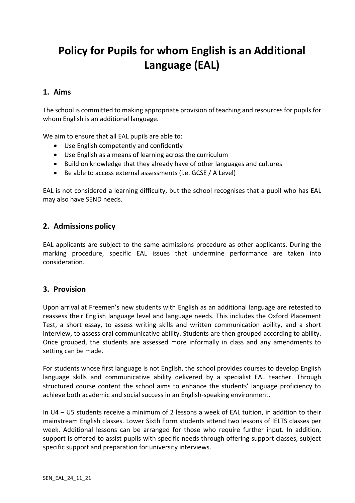## **Policy for Pupils for whom English is an Additional Language (EAL)**

#### **1. Aims**

The school is committed to making appropriate provision of teaching and resources for pupils for whom English is an additional language.

We aim to ensure that all EAL pupils are able to:

- Use English competently and confidently
- Use English as a means of learning across the curriculum
- Build on knowledge that they already have of other languages and cultures
- Be able to access external assessments (i.e. GCSE / A Level)

EAL is not considered a learning difficulty, but the school recognises that a pupil who has EAL may also have SEND needs.

#### **2. Admissions policy**

EAL applicants are subject to the same admissions procedure as other applicants. During the marking procedure, specific EAL issues that undermine performance are taken into consideration.

#### **3. Provision**

Upon arrival at Freemen's new students with English as an additional language are retested to reassess their English language level and language needs. This includes the Oxford Placement Test, a short essay, to assess writing skills and written communication ability, and a short interview, to assess oral communicative ability. Students are then grouped according to ability. Once grouped, the students are assessed more informally in class and any amendments to setting can be made.

For students whose first language is not English, the school provides courses to develop English language skills and communicative ability delivered by a specialist EAL teacher. Through structured course content the school aims to enhance the students' language proficiency to achieve both academic and social success in an English-speaking environment.

In U4 – U5 students receive a minimum of 2 lessons a week of EAL tuition, in addition to their mainstream English classes. Lower Sixth Form students attend two lessons of IELTS classes per week. Additional lessons can be arranged for those who require further input. In addition, support is offered to assist pupils with specific needs through offering support classes, subject specific support and preparation for university interviews.